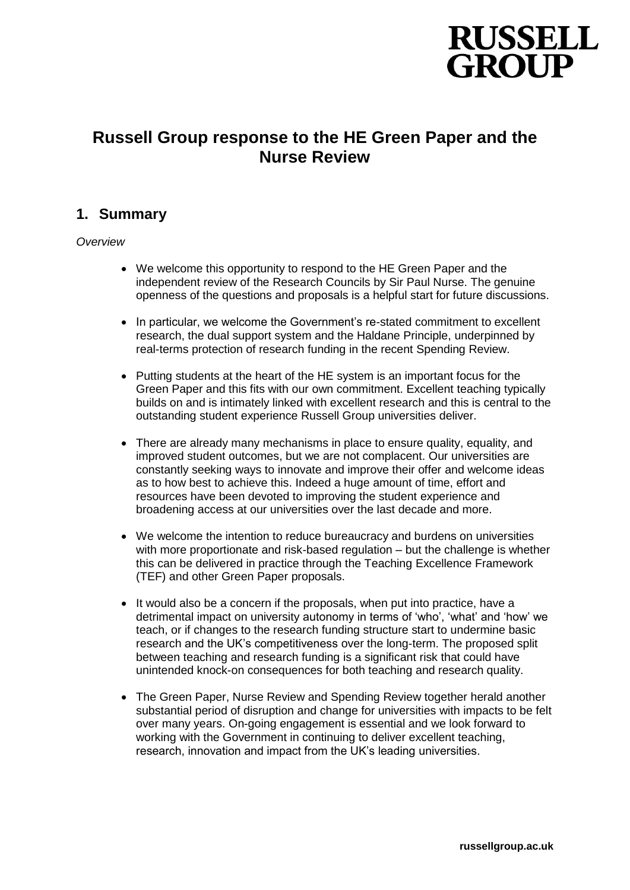

# **Russell Group response to the HE Green Paper and the Nurse Review**

# **1. Summary**

#### *Overview*

- We welcome this opportunity to respond to the HE Green Paper and the independent review of the Research Councils by Sir Paul Nurse. The genuine openness of the questions and proposals is a helpful start for future discussions.
- In particular, we welcome the Government's re-stated commitment to excellent research, the dual support system and the Haldane Principle, underpinned by real-terms protection of research funding in the recent Spending Review.
- Putting students at the heart of the HE system is an important focus for the Green Paper and this fits with our own commitment. Excellent teaching typically builds on and is intimately linked with excellent research and this is central to the outstanding student experience Russell Group universities deliver.
- There are already many mechanisms in place to ensure quality, equality, and improved student outcomes, but we are not complacent. Our universities are constantly seeking ways to innovate and improve their offer and welcome ideas as to how best to achieve this. Indeed a huge amount of time, effort and resources have been devoted to improving the student experience and broadening access at our universities over the last decade and more.
- We welcome the intention to reduce bureaucracy and burdens on universities with more proportionate and risk-based regulation – but the challenge is whether this can be delivered in practice through the Teaching Excellence Framework (TEF) and other Green Paper proposals.
- It would also be a concern if the proposals, when put into practice, have a detrimental impact on university autonomy in terms of 'who', 'what' and 'how' we teach, or if changes to the research funding structure start to undermine basic research and the UK's competitiveness over the long-term. The proposed split between teaching and research funding is a significant risk that could have unintended knock-on consequences for both teaching and research quality.
- The Green Paper, Nurse Review and Spending Review together herald another substantial period of disruption and change for universities with impacts to be felt over many years. On-going engagement is essential and we look forward to working with the Government in continuing to deliver excellent teaching, research, innovation and impact from the UK's leading universities.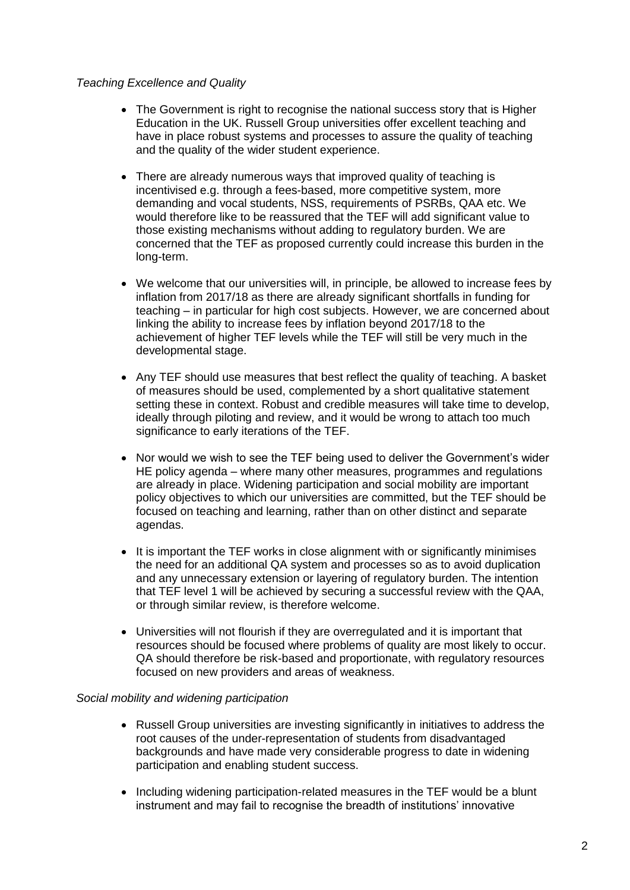#### *Teaching Excellence and Quality*

- The Government is right to recognise the national success story that is Higher Education in the UK. Russell Group universities offer excellent teaching and have in place robust systems and processes to assure the quality of teaching and the quality of the wider student experience.
- There are already numerous ways that improved quality of teaching is incentivised e.g. through a fees-based, more competitive system, more demanding and vocal students, NSS, requirements of PSRBs, QAA etc. We would therefore like to be reassured that the TEF will add significant value to those existing mechanisms without adding to regulatory burden. We are concerned that the TEF as proposed currently could increase this burden in the long-term.
- We welcome that our universities will, in principle, be allowed to increase fees by inflation from 2017/18 as there are already significant shortfalls in funding for teaching – in particular for high cost subjects. However, we are concerned about linking the ability to increase fees by inflation beyond 2017/18 to the achievement of higher TEF levels while the TEF will still be very much in the developmental stage.
- Any TEF should use measures that best reflect the quality of teaching. A basket of measures should be used, complemented by a short qualitative statement setting these in context. Robust and credible measures will take time to develop, ideally through piloting and review, and it would be wrong to attach too much significance to early iterations of the TEF.
- Nor would we wish to see the TEF being used to deliver the Government's wider HE policy agenda – where many other measures, programmes and regulations are already in place. Widening participation and social mobility are important policy objectives to which our universities are committed, but the TEF should be focused on teaching and learning, rather than on other distinct and separate agendas.
- It is important the TEF works in close alignment with or significantly minimises the need for an additional QA system and processes so as to avoid duplication and any unnecessary extension or layering of regulatory burden. The intention that TEF level 1 will be achieved by securing a successful review with the QAA, or through similar review, is therefore welcome.
- Universities will not flourish if they are overregulated and it is important that resources should be focused where problems of quality are most likely to occur. QA should therefore be risk-based and proportionate, with regulatory resources focused on new providers and areas of weakness.

#### *Social mobility and widening participation*

- Russell Group universities are investing significantly in initiatives to address the root causes of the under-representation of students from disadvantaged backgrounds and have made very considerable progress to date in widening participation and enabling student success.
- Including widening participation-related measures in the TEF would be a blunt instrument and may fail to recognise the breadth of institutions' innovative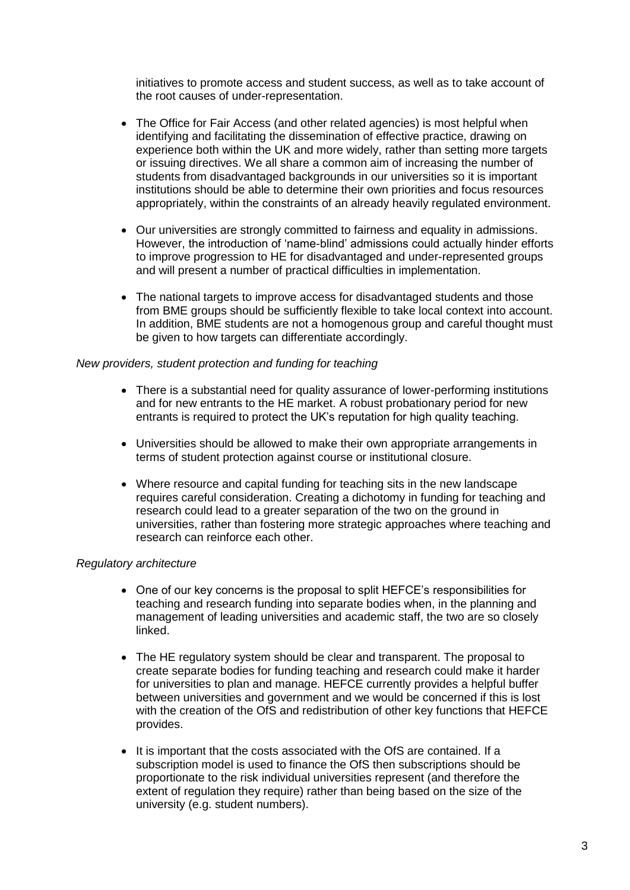initiatives to promote access and student success, as well as to take account of the root causes of under-representation.

- The Office for Fair Access (and other related agencies) is most helpful when identifying and facilitating the dissemination of effective practice, drawing on experience both within the UK and more widely, rather than setting more targets or issuing directives. We all share a common aim of increasing the number of students from disadvantaged backgrounds in our universities so it is important institutions should be able to determine their own priorities and focus resources appropriately, within the constraints of an already heavily regulated environment.
- Our universities are strongly committed to fairness and equality in admissions. However, the introduction of 'name-blind' admissions could actually hinder efforts to improve progression to HE for disadvantaged and under-represented groups and will present a number of practical difficulties in implementation.
- The national targets to improve access for disadvantaged students and those from BME groups should be sufficiently flexible to take local context into account. In addition, BME students are not a homogenous group and careful thought must be given to how targets can differentiate accordingly.

#### *New providers, student protection and funding for teaching*

- There is a substantial need for quality assurance of lower-performing institutions and for new entrants to the HE market. A robust probationary period for new entrants is required to protect the UK's reputation for high quality teaching.
- Universities should be allowed to make their own appropriate arrangements in terms of student protection against course or institutional closure.
- Where resource and capital funding for teaching sits in the new landscape requires careful consideration. Creating a dichotomy in funding for teaching and research could lead to a greater separation of the two on the ground in universities, rather than fostering more strategic approaches where teaching and research can reinforce each other.

#### *Regulatory architecture*

- One of our key concerns is the proposal to split HEFCE's responsibilities for teaching and research funding into separate bodies when, in the planning and management of leading universities and academic staff, the two are so closely linked.
- The HE regulatory system should be clear and transparent. The proposal to create separate bodies for funding teaching and research could make it harder for universities to plan and manage. HEFCE currently provides a helpful buffer between universities and government and we would be concerned if this is lost with the creation of the OfS and redistribution of other key functions that HEFCE provides.
- It is important that the costs associated with the OfS are contained. If a subscription model is used to finance the OfS then subscriptions should be proportionate to the risk individual universities represent (and therefore the extent of regulation they require) rather than being based on the size of the university (e.g. student numbers).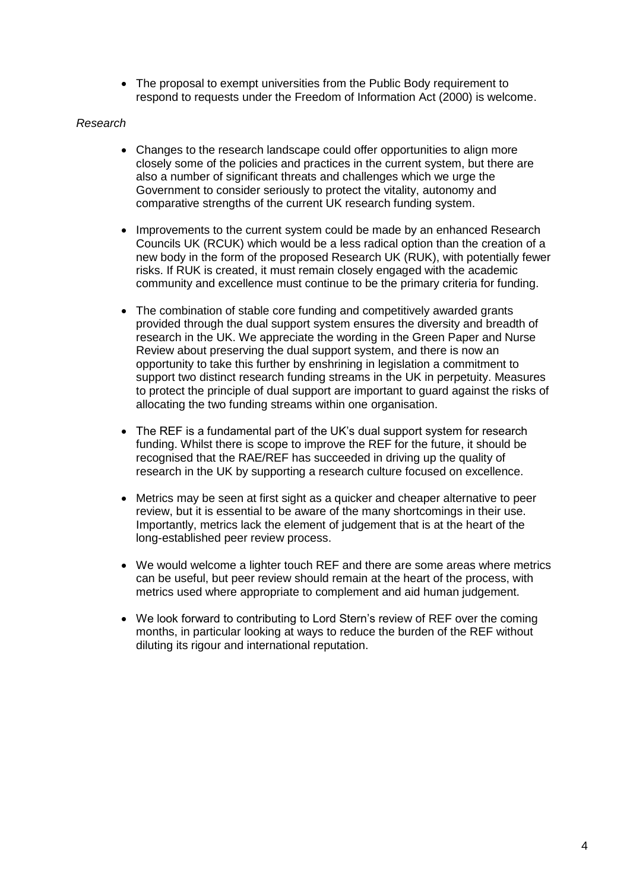The proposal to exempt universities from the Public Body requirement to respond to requests under the Freedom of Information Act (2000) is welcome.

#### *Research*

- Changes to the research landscape could offer opportunities to align more closely some of the policies and practices in the current system, but there are also a number of significant threats and challenges which we urge the Government to consider seriously to protect the vitality, autonomy and comparative strengths of the current UK research funding system.
- Improvements to the current system could be made by an enhanced Research Councils UK (RCUK) which would be a less radical option than the creation of a new body in the form of the proposed Research UK (RUK), with potentially fewer risks. If RUK is created, it must remain closely engaged with the academic community and excellence must continue to be the primary criteria for funding.
- The combination of stable core funding and competitively awarded grants provided through the dual support system ensures the diversity and breadth of research in the UK. We appreciate the wording in the Green Paper and Nurse Review about preserving the dual support system, and there is now an opportunity to take this further by enshrining in legislation a commitment to support two distinct research funding streams in the UK in perpetuity. Measures to protect the principle of dual support are important to guard against the risks of allocating the two funding streams within one organisation.
- The REF is a fundamental part of the UK's dual support system for research funding. Whilst there is scope to improve the REF for the future, it should be recognised that the RAE/REF has succeeded in driving up the quality of research in the UK by supporting a research culture focused on excellence.
- Metrics may be seen at first sight as a quicker and cheaper alternative to peer review, but it is essential to be aware of the many shortcomings in their use. Importantly, metrics lack the element of judgement that is at the heart of the long-established peer review process.
- We would welcome a lighter touch REF and there are some areas where metrics can be useful, but peer review should remain at the heart of the process, with metrics used where appropriate to complement and aid human judgement.
- We look forward to contributing to Lord Stern's review of REF over the coming months, in particular looking at ways to reduce the burden of the REF without diluting its rigour and international reputation.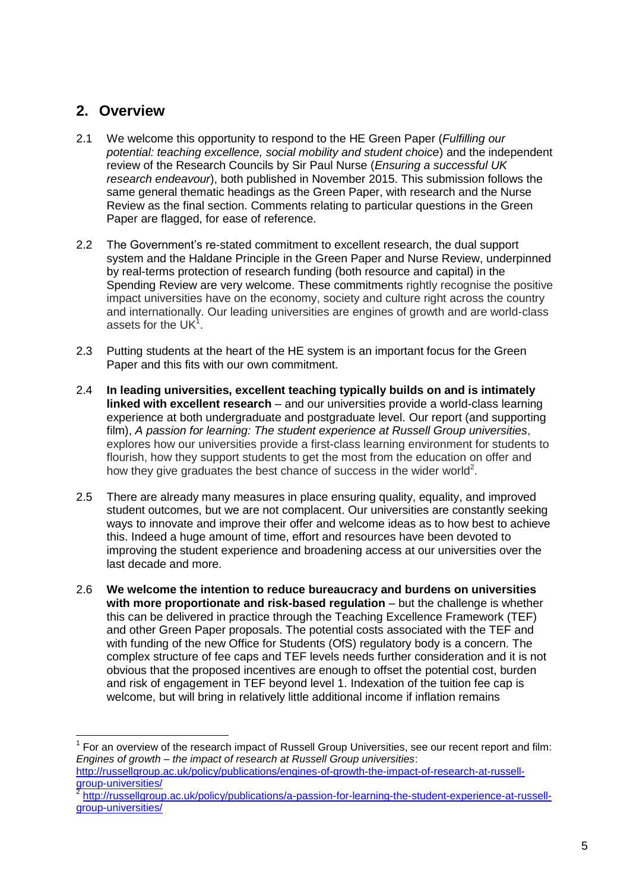# **2. Overview**

 $\overline{a}$ 

- 2.1 We welcome this opportunity to respond to the HE Green Paper (*Fulfilling our potential: teaching excellence, social mobility and student choice*) and the independent review of the Research Councils by Sir Paul Nurse (*Ensuring a successful UK research endeavour*), both published in November 2015. This submission follows the same general thematic headings as the Green Paper, with research and the Nurse Review as the final section. Comments relating to particular questions in the Green Paper are flagged, for ease of reference.
- 2.2 The Government's re-stated commitment to excellent research, the dual support system and the Haldane Principle in the Green Paper and Nurse Review, underpinned by real-terms protection of research funding (both resource and capital) in the Spending Review are very welcome. These commitments rightly recognise the positive impact universities have on the economy, society and culture right across the country and internationally. Our leading universities are engines of growth and are world-class assets for the UK $1$ .
- 2.3 Putting students at the heart of the HE system is an important focus for the Green Paper and this fits with our own commitment.
- 2.4 **In leading universities, excellent teaching typically builds on and is intimately linked with excellent research** – and our universities provide a world-class learning experience at both undergraduate and postgraduate level. Our report (and supporting film), *A passion for learning: The student experience at Russell Group universities*, explores how our universities provide a first-class learning environment for students to flourish, how they support students to get the most from the education on offer and how they give graduates the best chance of success in the wider world<sup>2</sup>.
- 2.5 There are already many measures in place ensuring quality, equality, and improved student outcomes, but we are not complacent. Our universities are constantly seeking ways to innovate and improve their offer and welcome ideas as to how best to achieve this. Indeed a huge amount of time, effort and resources have been devoted to improving the student experience and broadening access at our universities over the last decade and more.
- 2.6 **We welcome the intention to reduce bureaucracy and burdens on universities with more proportionate and risk-based regulation** – but the challenge is whether this can be delivered in practice through the Teaching Excellence Framework (TEF) and other Green Paper proposals. The potential costs associated with the TEF and with funding of the new Office for Students (OfS) regulatory body is a concern. The complex structure of fee caps and TEF levels needs further consideration and it is not obvious that the proposed incentives are enough to offset the potential cost, burden and risk of engagement in TEF beyond level 1. Indexation of the tuition fee cap is welcome, but will bring in relatively little additional income if inflation remains

 $1$  For an overview of the research impact of Russell Group Universities, see our recent report and film: *Engines of growth – the impact of research at Russell Group universities*: [http://russellgroup.ac.uk/policy/publications/engines-of-growth-the-impact-of-research-at-russell](http://russellgroup.ac.uk/policy/publications/engines-of-growth-the-impact-of-research-at-russell-group-universities/)[group-universities/](http://russellgroup.ac.uk/policy/publications/engines-of-growth-the-impact-of-research-at-russell-group-universities/)<br>2 http://rupeellare.u

[http://russellgroup.ac.uk/policy/publications/a-passion-for-learning-the-student-experience-at-russell](http://russellgroup.ac.uk/policy/publications/a-passion-for-learning-the-student-experience-at-russell-group-universities/)[group-universities/](http://russellgroup.ac.uk/policy/publications/a-passion-for-learning-the-student-experience-at-russell-group-universities/)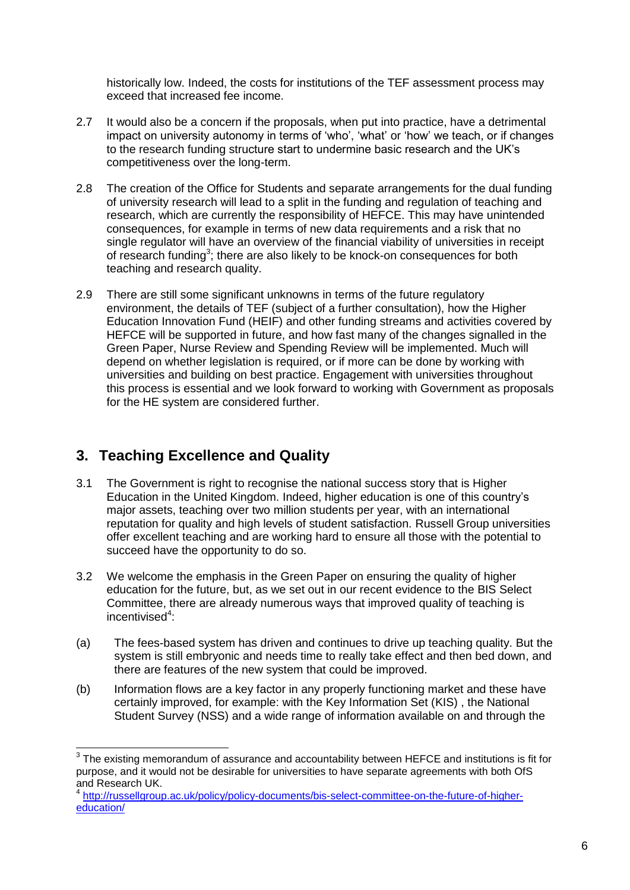historically low. Indeed, the costs for institutions of the TEF assessment process may exceed that increased fee income.

- 2.7 It would also be a concern if the proposals, when put into practice, have a detrimental impact on university autonomy in terms of 'who', 'what' or 'how' we teach, or if changes to the research funding structure start to undermine basic research and the UK's competitiveness over the long-term.
- 2.8 The creation of the Office for Students and separate arrangements for the dual funding of university research will lead to a split in the funding and regulation of teaching and research, which are currently the responsibility of HEFCE. This may have unintended consequences, for example in terms of new data requirements and a risk that no single regulator will have an overview of the financial viability of universities in receipt of research funding<sup>3</sup>; there are also likely to be knock-on consequences for both teaching and research quality.
- 2.9 There are still some significant unknowns in terms of the future regulatory environment, the details of TEF (subject of a further consultation), how the Higher Education Innovation Fund (HEIF) and other funding streams and activities covered by HEFCE will be supported in future, and how fast many of the changes signalled in the Green Paper, Nurse Review and Spending Review will be implemented. Much will depend on whether legislation is required, or if more can be done by working with universities and building on best practice. Engagement with universities throughout this process is essential and we look forward to working with Government as proposals for the HE system are considered further.

# **3. Teaching Excellence and Quality**

- 3.1 The Government is right to recognise the national success story that is Higher Education in the United Kingdom. Indeed, higher education is one of this country's major assets, teaching over two million students per year, with an international reputation for quality and high levels of student satisfaction. Russell Group universities offer excellent teaching and are working hard to ensure all those with the potential to succeed have the opportunity to do so.
- 3.2 We welcome the emphasis in the Green Paper on ensuring the quality of higher education for the future, but, as we set out in our recent evidence to the BIS Select Committee, there are already numerous ways that improved quality of teaching is incentivised<sup>4</sup>:
- (a) The fees-based system has driven and continues to drive up teaching quality. But the system is still embryonic and needs time to really take effect and then bed down, and there are features of the new system that could be improved.
- (b) Information flows are a key factor in any properly functioning market and these have certainly improved, for example: with the Key Information Set (KIS) , the National Student Survey (NSS) and a wide range of information available on and through the

 3 The existing memorandum of assurance and accountability between HEFCE and institutions is fit for purpose, and it would not be desirable for universities to have separate agreements with both OfS and Research UK.

<sup>4</sup> [http://russellgroup.ac.uk/policy/policy-documents/bis-select-committee-on-the-future-of-higher](http://russellgroup.ac.uk/policy/policy-documents/bis-select-committee-on-the-future-of-higher-education/)[education/](http://russellgroup.ac.uk/policy/policy-documents/bis-select-committee-on-the-future-of-higher-education/)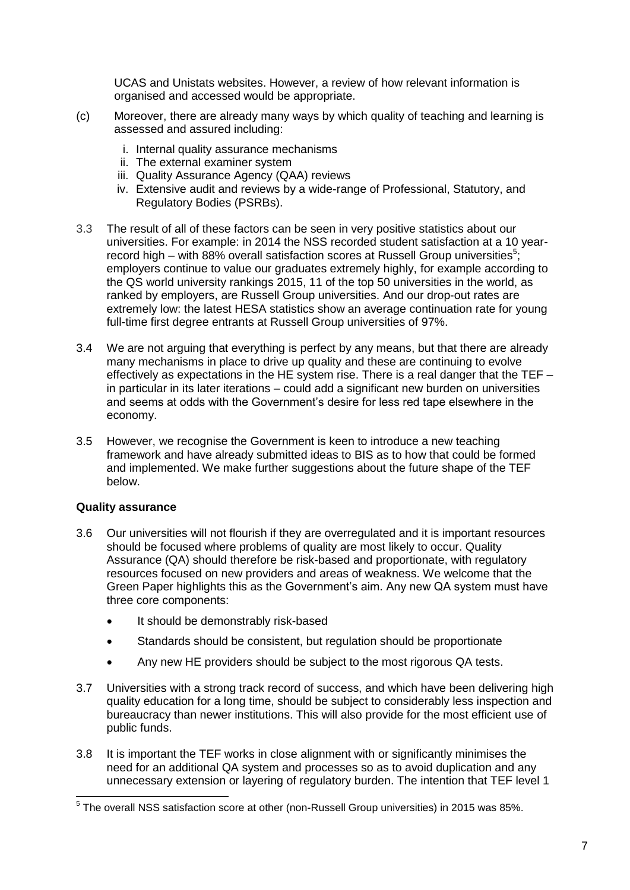UCAS and Unistats websites. However, a review of how relevant information is organised and accessed would be appropriate.

- (c) Moreover, there are already many ways by which quality of teaching and learning is assessed and assured including:
	- i. Internal quality assurance mechanisms
	- ii. The external examiner system
	- iii. Quality Assurance Agency (QAA) reviews
	- iv. Extensive audit and reviews by a wide-range of Professional, Statutory, and Regulatory Bodies (PSRBs).
- 3.3 The result of all of these factors can be seen in very positive statistics about our universities. For example: in 2014 the NSS recorded student satisfaction at a 10 yearrecord high – with 88% overall satisfaction scores at Russell Group universities<sup>5</sup>; employers continue to value our graduates extremely highly, for example according to the [QS world university rankings](http://www.topuniversities.com/qs-world-university-rankings) 2015, 11 of the top 50 universities in the world, as ranked by employers, are Russell Group universities. And our drop-out rates are extremely low: the latest HESA statistics show an average continuation rate for young full-time first degree entrants at Russell Group universities of 97%.
- 3.4 We are not arguing that everything is perfect by any means, but that there are already many mechanisms in place to drive up quality and these are continuing to evolve effectively as expectations in the HE system rise. There is a real danger that the TEF – in particular in its later iterations – could add a significant new burden on universities and seems at odds with the Government's desire for less red tape elsewhere in the economy.
- 3.5 However, we recognise the Government is keen to introduce a new teaching framework and have already submitted ideas to BIS as to how that could be formed and implemented. We make further suggestions about the future shape of the TEF below.

#### **Quality assurance**

- 3.6 Our universities will not flourish if they are overregulated and it is important resources should be focused where problems of quality are most likely to occur. Quality Assurance (QA) should therefore be risk-based and proportionate, with regulatory resources focused on new providers and areas of weakness. We welcome that the Green Paper highlights this as the Government's aim. Any new QA system must have three core components:
	- It should be demonstrably risk-based
	- Standards should be consistent, but regulation should be proportionate
	- Any new HE providers should be subject to the most rigorous QA tests.
- 3.7 Universities with a strong track record of success, and which have been delivering high quality education for a long time, should be subject to considerably less inspection and bureaucracy than newer institutions. This will also provide for the most efficient use of public funds.
- 3.8 It is important the TEF works in close alignment with or significantly minimises the need for an additional QA system and processes so as to avoid duplication and any unnecessary extension or layering of regulatory burden. The intention that TEF level 1

 5 The overall NSS satisfaction score at other (non-Russell Group universities) in 2015 was 85%.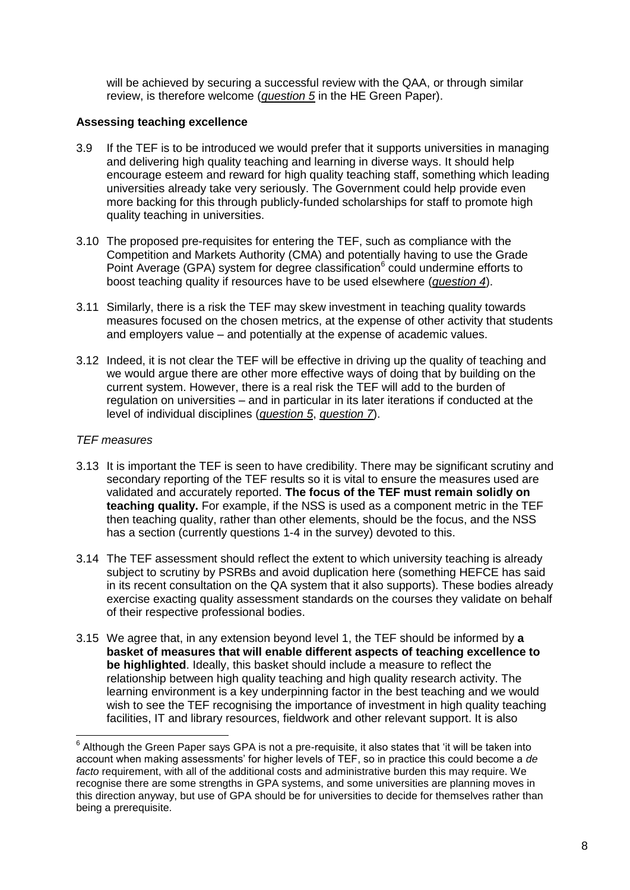will be achieved by securing a successful review with the QAA, or through similar review, is therefore welcome (*question 5* in the HE Green Paper).

## **Assessing teaching excellence**

- 3.9 If the TEF is to be introduced we would prefer that it supports universities in managing and delivering high quality teaching and learning in diverse ways. It should help encourage esteem and reward for high quality teaching staff, something which leading universities already take very seriously. The Government could help provide even more backing for this through publicly-funded scholarships for staff to promote high quality teaching in universities.
- 3.10 The proposed pre-requisites for entering the TEF, such as compliance with the Competition and Markets Authority (CMA) and potentially having to use the Grade Point Average (GPA) system for degree classification<sup>6</sup> could undermine efforts to boost teaching quality if resources have to be used elsewhere (*question 4*).
- 3.11 Similarly, there is a risk the TEF may skew investment in teaching quality towards measures focused on the chosen metrics, at the expense of other activity that students and employers value – and potentially at the expense of academic values.
- 3.12 Indeed, it is not clear the TEF will be effective in driving up the quality of teaching and we would argue there are other more effective ways of doing that by building on the current system. However, there is a real risk the TEF will add to the burden of regulation on universities – and in particular in its later iterations if conducted at the level of individual disciplines (*question 5*, *question 7*).

# *TEF measures*

- 3.13 It is important the TEF is seen to have credibility. There may be significant scrutiny and secondary reporting of the TEF results so it is vital to ensure the measures used are validated and accurately reported. **The focus of the TEF must remain solidly on teaching quality.** For example, if the NSS is used as a component metric in the TEF then teaching quality, rather than other elements, should be the focus, and the NSS has a section (currently questions 1-4 in the survey) devoted to this.
- 3.14 The TEF assessment should reflect the extent to which university teaching is already subject to scrutiny by PSRBs and avoid duplication here (something HEFCE has said in its recent consultation on the QA system that it also supports). These bodies already exercise exacting quality assessment standards on the courses they validate on behalf of their respective professional bodies.
- 3.15 We agree that, in any extension beyond level 1, the TEF should be informed by **a basket of measures that will enable different aspects of teaching excellence to be highlighted**. Ideally, this basket should include a measure to reflect the relationship between high quality teaching and high quality research activity. The learning environment is a key underpinning factor in the best teaching and we would wish to see the TEF recognising the importance of investment in high quality teaching facilities, IT and library resources, fieldwork and other relevant support. It is also

 6 Although the Green Paper says GPA is not a pre-requisite, it also states that 'it will be taken into account when making assessments' for higher levels of TEF, so in practice this could become a *de facto* requirement, with all of the additional costs and administrative burden this may require. We recognise there are some strengths in GPA systems, and some universities are planning moves in this direction anyway, but use of GPA should be for universities to decide for themselves rather than being a prerequisite.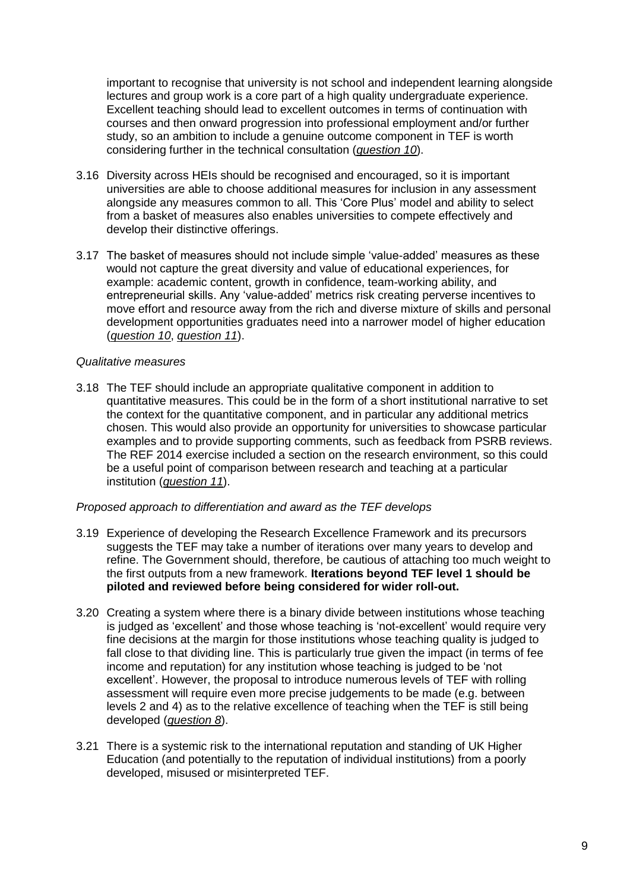important to recognise that university is not school and independent learning alongside lectures and group work is a core part of a high quality undergraduate experience. Excellent teaching should lead to excellent outcomes in terms of continuation with courses and then onward progression into professional employment and/or further study, so an ambition to include a genuine outcome component in TEF is worth considering further in the technical consultation (*question 10*).

- 3.16 Diversity across HEIs should be recognised and encouraged, so it is important universities are able to choose additional measures for inclusion in any assessment alongside any measures common to all. This 'Core Plus' model and ability to select from a basket of measures also enables universities to compete effectively and develop their distinctive offerings.
- 3.17 The basket of measures should not include simple 'value-added' measures as these would not capture the great diversity and value of educational experiences, for example: academic content, growth in confidence, team-working ability, and entrepreneurial skills. Any 'value-added' metrics risk creating perverse incentives to move effort and resource away from the rich and diverse mixture of skills and personal development opportunities graduates need into a narrower model of higher education (*question 10*, *question 11*).

#### *Qualitative measures*

3.18 The TEF should include an appropriate qualitative component in addition to quantitative measures. This could be in the form of a short institutional narrative to set the context for the quantitative component, and in particular any additional metrics chosen. This would also provide an opportunity for universities to showcase particular examples and to provide supporting comments, such as feedback from PSRB reviews. The REF 2014 exercise included a section on the research environment, so this could be a useful point of comparison between research and teaching at a particular institution (*question 11*).

#### *Proposed approach to differentiation and award as the TEF develops*

- 3.19 Experience of developing the Research Excellence Framework and its precursors suggests the TEF may take a number of iterations over many years to develop and refine. The Government should, therefore, be cautious of attaching too much weight to the first outputs from a new framework. **Iterations beyond TEF level 1 should be piloted and reviewed before being considered for wider roll-out.**
- 3.20 Creating a system where there is a binary divide between institutions whose teaching is judged as 'excellent' and those whose teaching is 'not-excellent' would require very fine decisions at the margin for those institutions whose teaching quality is judged to fall close to that dividing line. This is particularly true given the impact (in terms of fee income and reputation) for any institution whose teaching is judged to be 'not excellent'. However, the proposal to introduce numerous levels of TEF with rolling assessment will require even more precise judgements to be made (e.g. between levels 2 and 4) as to the relative excellence of teaching when the TEF is still being developed (*question 8*).
- 3.21 There is a systemic risk to the international reputation and standing of UK Higher Education (and potentially to the reputation of individual institutions) from a poorly developed, misused or misinterpreted TEF.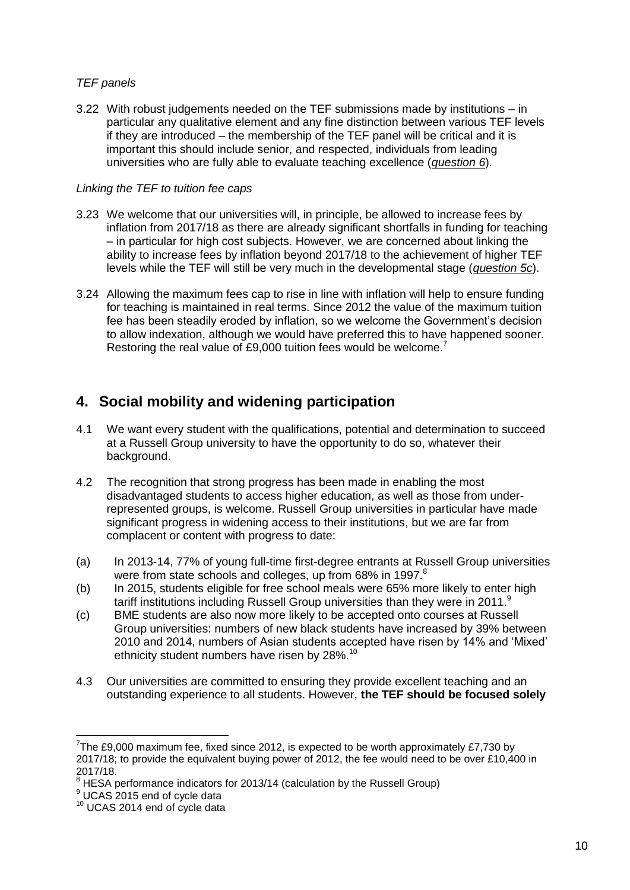# *TEF panels*

3.22 With robust judgements needed on the TEF submissions made by institutions – in particular any qualitative element and any fine distinction between various TEF levels if they are introduced – the membership of the TEF panel will be critical and it is important this should include senior, and respected, individuals from leading universities who are fully able to evaluate teaching excellence (*question 6*).

## *Linking the TEF to tuition fee caps*

- 3.23 We welcome that our universities will, in principle, be allowed to increase fees by inflation from 2017/18 as there are already significant shortfalls in funding for teaching – in particular for high cost subjects. However, we are concerned about linking the ability to increase fees by inflation beyond 2017/18 to the achievement of higher TEF levels while the TEF will still be very much in the developmental stage (*question 5c*).
- 3.24 Allowing the maximum fees cap to rise in line with inflation will help to ensure funding for teaching is maintained in real terms. Since 2012 the value of the maximum tuition fee has been steadily eroded by inflation, so we welcome the Government's decision to allow indexation, although we would have preferred this to have happened sooner. Restoring the real value of £9,000 tuition fees would be welcome.<sup>7</sup>

# **4. Social mobility and widening participation**

- 4.1 We want every student with the qualifications, potential and determination to succeed at a Russell Group university to have the opportunity to do so, whatever their background.
- 4.2 The recognition that strong progress has been made in enabling the most disadvantaged students to access higher education, as well as those from underrepresented groups, is welcome. Russell Group universities in particular have made significant progress in widening access to their institutions, but we are far from complacent or content with progress to date:
- (a) In 2013-14, 77% of young full-time first-degree entrants at Russell Group universities were from state schools and colleges, up from 68% in 1997.<sup>8</sup>
- (b) In 2015, students eligible for free school meals were 65% more likely to enter high tariff institutions including Russell Group universities than they were in 2011.<sup>9</sup>
- (c) BME students are also now more likely to be accepted onto courses at Russell Group universities: numbers of new black students have increased by 39% between 2010 and 2014, numbers of Asian students accepted have risen by 14% and 'Mixed' ethnicity student numbers have risen by 28%.<sup>10</sup>
- 4.3 Our universities are committed to ensuring they provide excellent teaching and an outstanding experience to all students. However, **the TEF should be focused solely**

 7 The £9,000 maximum fee, fixed since 2012, is expected to be worth approximately £7,730 by 2017/18; to provide the equivalent buying power of 2012, the fee would need to be over £10,400 in 2017/18.

<sup>&</sup>lt;sup>8</sup> HESA performance indicators for 2013/14 (calculation by the Russell Group)

<sup>&</sup>lt;sup>9</sup> UCAS 2015 end of cycle data

<sup>&</sup>lt;sup>10</sup> UCAS 2014 end of cycle data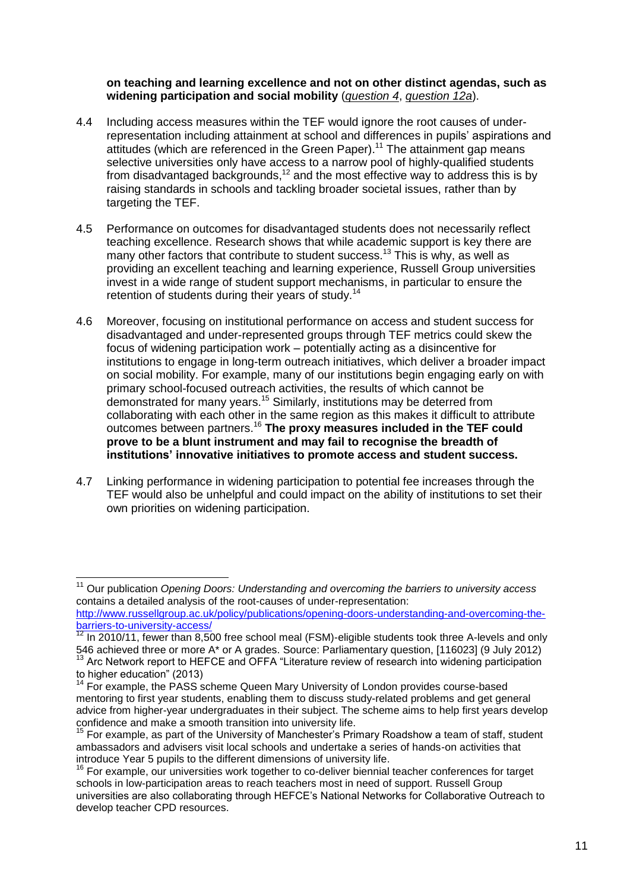#### **on teaching and learning excellence and not on other distinct agendas, such as widening participation and social mobility** (*question 4*, *question 12a*).

- 4.4 Including access measures within the TEF would ignore the root causes of underrepresentation including attainment at school and differences in pupils' aspirations and attitudes (which are referenced in the Green Paper).<sup>11</sup> The attainment gap means selective universities only have access to a narrow pool of highly-qualified students from disadvantaged backgrounds, $12$  and the most effective way to address this is by raising standards in schools and tackling broader societal issues, rather than by targeting the TEF.
- 4.5 Performance on outcomes for disadvantaged students does not necessarily reflect teaching excellence. Research shows that while academic support is key there are many other factors that contribute to student success.<sup>13</sup> This is why, as well as providing an excellent teaching and learning experience, Russell Group universities invest in a wide range of student support mechanisms, in particular to ensure the retention of students during their years of study.<sup>14</sup>
- 4.6 Moreover, focusing on institutional performance on access and student success for disadvantaged and under-represented groups through TEF metrics could skew the focus of widening participation work – potentially acting as a disincentive for institutions to engage in long-term outreach initiatives, which deliver a broader impact on social mobility. For example, many of our institutions begin engaging early on with primary school-focused outreach activities, the results of which cannot be demonstrated for many years.<sup>15</sup> Similarly, institutions may be deterred from collaborating with each other in the same region as this makes it difficult to attribute outcomes between partners.<sup>16</sup> **The proxy measures included in the TEF could prove to be a blunt instrument and may fail to recognise the breadth of institutions' innovative initiatives to promote access and student success.**
- 4.7 Linking performance in widening participation to potential fee increases through the TEF would also be unhelpful and could impact on the ability of institutions to set their own priorities on widening participation.

 $\overline{1}$ 

<sup>&</sup>lt;sup>11</sup> Our publication *Opening Doors: Understanding and overcoming the barriers to university access* contains a detailed analysis of the root-causes of under-representation:

[http://www.russellgroup.ac.uk/policy/publications/opening-doors-understanding-and-overcoming-the](http://www.russellgroup.ac.uk/policy/publications/opening-doors-understanding-and-overcoming-the-barriers-to-university-access/)[barriers-to-university-access/](http://www.russellgroup.ac.uk/policy/publications/opening-doors-understanding-and-overcoming-the-barriers-to-university-access/)

 $12$  In 2010/11, fewer than 8,500 free school meal (FSM)-eligible students took three A-levels and only 546 achieved three or more A\* or A grades. Source: Parliamentary question, [116023] (9 July 2012) <sup>13</sup> Arc Network report to HEFCE and OFFA "Literature review of research into widening participation

to higher education" (2013)

<sup>&</sup>lt;sup>14</sup> For example, the PASS scheme Queen Mary University of London provides course-based mentoring to first year students, enabling them to discuss study-related problems and get general advice from higher-year undergraduates in their subject. The scheme aims to help first years develop confidence and make a smooth transition into university life.

<sup>15</sup> For example, as part of the University of Manchester's Primary Roadshow a team of staff, student ambassadors and advisers visit local schools and undertake a series of hands-on activities that introduce Year 5 pupils to the different dimensions of university life.

<sup>&</sup>lt;sup>16</sup> For example, our universities work together to co-deliver biennial teacher conferences for target schools in low-participation areas to reach teachers most in need of support. Russell Group universities are also collaborating through HEFCE's National Networks for Collaborative Outreach to develop teacher CPD resources.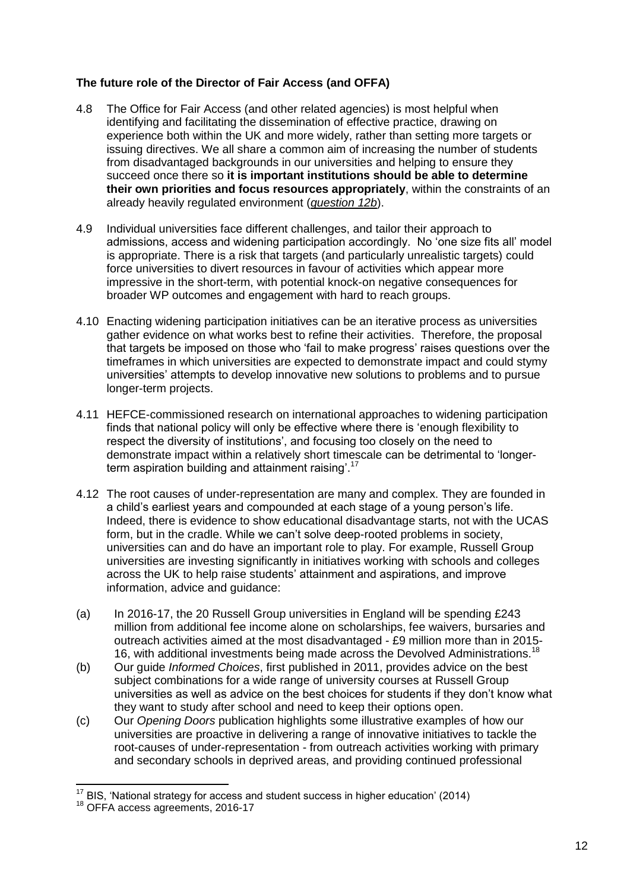# **The future role of the Director of Fair Access (and OFFA)**

- 4.8 The Office for Fair Access (and other related agencies) is most helpful when identifying and facilitating the dissemination of effective practice, drawing on experience both within the UK and more widely, rather than setting more targets or issuing directives. We all share a common aim of increasing the number of students from disadvantaged backgrounds in our universities and helping to ensure they succeed once there so **it is important institutions should be able to determine their own priorities and focus resources appropriately**, within the constraints of an already heavily regulated environment (*question 12b*).
- 4.9 Individual universities face different challenges, and tailor their approach to admissions, access and widening participation accordingly. No 'one size fits all' model is appropriate. There is a risk that targets (and particularly unrealistic targets) could force universities to divert resources in favour of activities which appear more impressive in the short-term, with potential knock-on negative consequences for broader WP outcomes and engagement with hard to reach groups.
- 4.10 Enacting widening participation initiatives can be an iterative process as universities gather evidence on what works best to refine their activities. Therefore, the proposal that targets be imposed on those who 'fail to make progress' raises questions over the timeframes in which universities are expected to demonstrate impact and could stymy universities' attempts to develop innovative new solutions to problems and to pursue longer-term projects.
- 4.11 HEFCE-commissioned research on international approaches to widening participation finds that national policy will only be effective where there is 'enough flexibility to respect the diversity of institutions', and focusing too closely on the need to demonstrate impact within a relatively short timescale can be detrimental to 'longerterm aspiration building and attainment raising'.<sup>17</sup>
- 4.12 The root causes of under-representation are many and complex. They are founded in a child's earliest years and compounded at each stage of a young person's life. Indeed, there is evidence to show educational disadvantage starts, not with the UCAS form, but in the cradle. While we can't solve deep-rooted problems in society, universities can and do have an important role to play. For example, Russell Group universities are investing significantly in initiatives working with schools and colleges across the UK to help raise students' attainment and aspirations, and improve information, advice and guidance:
- (a) In 2016-17, the 20 Russell Group universities in England will be spending £243 million from additional fee income alone on scholarships, fee waivers, bursaries and outreach activities aimed at the most disadvantaged - £9 million more than in 2015- 16, with additional investments being made across the Devolved Administrations.<sup>18</sup>
- (b) Our guide *Informed Choices*, first published in 2011, provides advice on the best subject combinations for a wide range of university courses at Russell Group universities as well as advice on the best choices for students if they don't know what they want to study after school and need to keep their options open.
- (c) Our *Opening Doors* publication highlights some illustrative examples of how our universities are proactive in delivering a range of innovative initiatives to tackle the root-causes of under-representation - from outreach activities working with primary and secondary schools in deprived areas, and providing continued professional

-

 $17$  BIS, 'National strategy for access and student success in higher education' (2014)

<sup>&</sup>lt;sup>18</sup> OFFA access agreements, 2016-17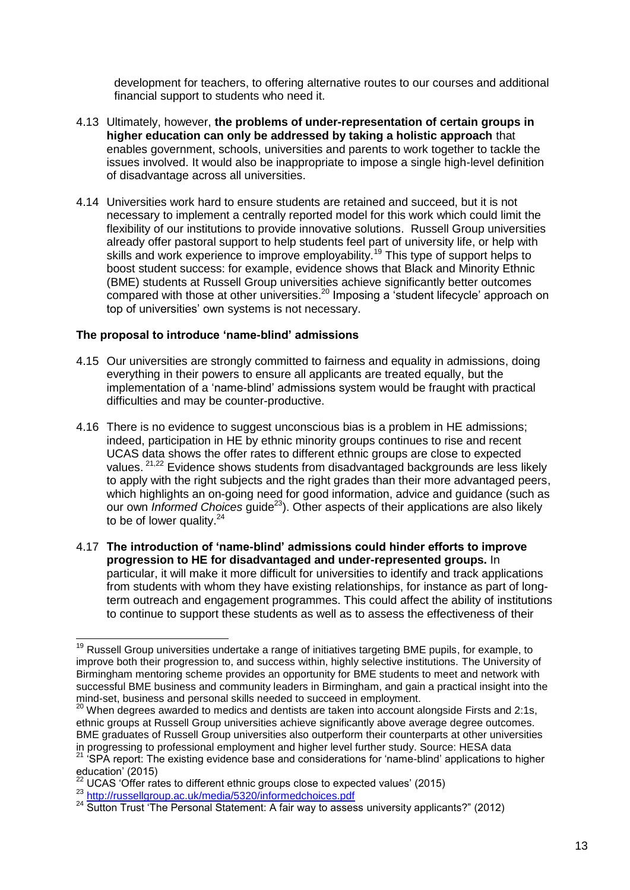development for teachers, to offering alternative routes to our courses and additional financial support to students who need it.

- 4.13 Ultimately, however, **the problems of under-representation of certain groups in higher education can only be addressed by taking a holistic approach** that enables government, schools, universities and parents to work together to tackle the issues involved. It would also be inappropriate to impose a single high-level definition of disadvantage across all universities.
- 4.14 Universities work hard to ensure students are retained and succeed, but it is not necessary to implement a centrally reported model for this work which could limit the flexibility of our institutions to provide innovative solutions. Russell Group universities already offer pastoral support to help students feel part of university life, or help with skills and work experience to improve employability.<sup>19</sup> This type of support helps to boost student success: for example, evidence shows that Black and Minority Ethnic (BME) students at Russell Group universities achieve significantly better outcomes compared with those at other universities.<sup>20</sup> Imposing a 'student lifecycle' approach on top of universities' own systems is not necessary.

#### **The proposal to introduce 'name-blind' admissions**

- 4.15 Our universities are strongly committed to fairness and equality in admissions, doing everything in their powers to ensure all applicants are treated equally, but the implementation of a 'name-blind' admissions system would be fraught with practical difficulties and may be counter-productive.
- 4.16 There is no evidence to suggest unconscious bias is a problem in HE admissions; indeed, participation in HE by ethnic minority groups continues to rise and recent UCAS data shows the offer rates to different ethnic groups are close to expected values. <sup>21,22</sup> Evidence shows students from disadvantaged backgrounds are less likely to apply with the right subjects and the right grades than their more advantaged peers. which highlights an on-going need for good information, advice and guidance (such as our own *Informed Choices* guide<sup>23</sup>). Other aspects of their applications are also likely to be of lower quality.<sup>24</sup>
- 4.17 **The introduction of 'name-blind' admissions could hinder efforts to improve progression to HE for disadvantaged and under-represented groups.** In particular, it will make it more difficult for universities to identify and track applications from students with whom they have existing relationships, for instance as part of longterm outreach and engagement programmes. This could affect the ability of institutions to continue to support these students as well as to assess the effectiveness of their

<sup>-</sup><sup>19</sup> Russell Group universities undertake a range of initiatives targeting BME pupils, for example, to improve both their progression to, and success within, highly selective institutions. The University of Birmingham mentoring scheme provides an opportunity for BME students to meet and network with successful BME business and community leaders in Birmingham, and gain a practical insight into the mind-set, business and personal skills needed to succeed in employment.

 $^{20}$  When degrees awarded to medics and dentists are taken into account alongside Firsts and 2:1s, ethnic groups at Russell Group universities achieve significantly above average degree outcomes. BME graduates of Russell Group universities also outperform their counterparts at other universities in progressing to professional employment and higher level further study. Source: HESA data

<sup>&</sup>lt;sup>21</sup> 'SPA report: The existing evidence base and considerations for 'name-blind' applications to higher education' (2015)

 $22$  UCAS 'Offer rates to different ethnic groups close to expected values' (2015)

<sup>23</sup> <http://russellgroup.ac.uk/media/5320/informedchoices.pdf>

<sup>&</sup>lt;sup>24</sup> Sutton Trust 'The Personal Statement: A fair way to assess university applicants?" (2012)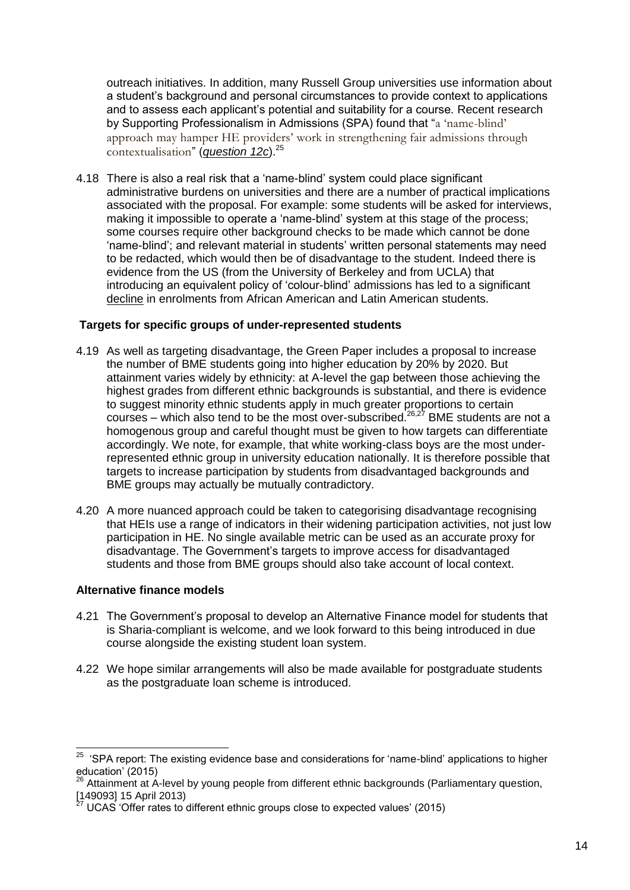outreach initiatives. In addition, many Russell Group universities use information about a student's background and personal circumstances to provide context to applications and to assess each applicant's potential and suitability for a course. Recent research by Supporting Professionalism in Admissions (SPA) found that "a 'name-blind' approach may hamper HE providers' work in strengthening fair admissions through contextualisation" (*question 12c*).<sup>25</sup>

4.18 There is also a real risk that a 'name-blind' system could place significant administrative burdens on universities and there are a number of practical implications associated with the proposal. For example: some students will be asked for interviews, making it impossible to operate a 'name-blind' system at this stage of the process; some courses require other background checks to be made which cannot be done 'name-blind'; and relevant material in students' written personal statements may need to be redacted, which would then be of disadvantage to the student. Indeed there is evidence from the US (from the University of Berkeley and from UCLA) that introducing an equivalent policy of 'colour-blind' admissions has led to a significant decline in enrolments from African American and Latin American students.

# **Targets for specific groups of under-represented students**

- 4.19 As well as targeting disadvantage, the Green Paper includes a proposal to increase the number of BME students going into higher education by 20% by 2020. But attainment varies widely by ethnicity: at A-level the gap between those achieving the highest grades from different ethnic backgrounds is substantial, and there is evidence to suggest minority ethnic students apply in much greater proportions to certain courses – which also tend to be the most over-subscribed.<sup>26,27</sup> BME students are not a homogenous group and careful thought must be given to how targets can differentiate accordingly. We note, for example, that white working-class boys are the most underrepresented ethnic group in university education nationally. It is therefore possible that targets to increase participation by students from disadvantaged backgrounds and BME groups may actually be mutually contradictory.
- 4.20 A more nuanced approach could be taken to categorising disadvantage recognising that HEIs use a range of indicators in their widening participation activities, not just low participation in HE. No single available metric can be used as an accurate proxy for disadvantage. The Government's targets to improve access for disadvantaged students and those from BME groups should also take account of local context.

#### **Alternative finance models**

- 4.21 The Government's proposal to develop an Alternative Finance model for students that is Sharia-compliant is welcome, and we look forward to this being introduced in due course alongside the existing student loan system.
- 4.22 We hope similar arrangements will also be made available for postgraduate students as the postgraduate loan scheme is introduced.

 25 'SPA report: The existing evidence base and considerations for 'name-blind' applications to higher education' (2015)

<sup>&</sup>lt;sup>26</sup> Attainment at A-level by young people from different ethnic backgrounds (Parliamentary question, ا اعلاقا - در سال 149093]<br>(149093] 15 April 2013)

<sup>27</sup> UCAS 'Offer rates to different ethnic groups close to expected values' (2015)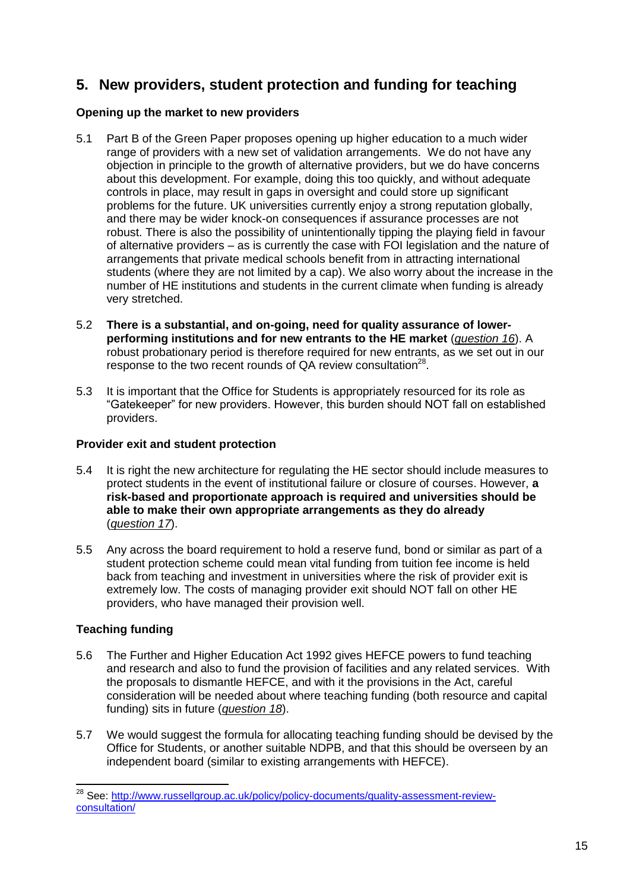# **5. New providers, student protection and funding for teaching**

# **Opening up the market to new providers**

- 5.1 Part B of the Green Paper proposes opening up higher education to a much wider range of providers with a new set of validation arrangements. We do not have any objection in principle to the growth of alternative providers, but we do have concerns about this development. For example, doing this too quickly, and without adequate controls in place, may result in gaps in oversight and could store up significant problems for the future. UK universities currently enjoy a strong reputation globally, and there may be wider knock-on consequences if assurance processes are not robust. There is also the possibility of unintentionally tipping the playing field in favour of alternative providers – as is currently the case with FOI legislation and the nature of arrangements that private medical schools benefit from in attracting international students (where they are not limited by a cap). We also worry about the increase in the number of HE institutions and students in the current climate when funding is already very stretched.
- 5.2 **There is a substantial, and on-going, need for quality assurance of lowerperforming institutions and for new entrants to the HE market** (*question 16*). A robust probationary period is therefore required for new entrants, as we set out in our response to the two recent rounds of QA review consultation<sup>28</sup>.
- 5.3 It is important that the Office for Students is appropriately resourced for its role as "Gatekeeper" for new providers. However, this burden should NOT fall on established providers.

# **Provider exit and student protection**

- 5.4 It is right the new architecture for regulating the HE sector should include measures to protect students in the event of institutional failure or closure of courses. However, **a risk-based and proportionate approach is required and universities should be able to make their own appropriate arrangements as they do already** (*question 17*).
- 5.5 Any across the board requirement to hold a reserve fund, bond or similar as part of a student protection scheme could mean vital funding from tuition fee income is held back from teaching and investment in universities where the risk of provider exit is extremely low. The costs of managing provider exit should NOT fall on other HE providers, who have managed their provision well.

# **Teaching funding**

-

- 5.6 The Further and Higher Education Act 1992 gives HEFCE powers to fund teaching and research and also to fund the provision of facilities and any related services. With the proposals to dismantle HEFCE, and with it the provisions in the Act, careful consideration will be needed about where teaching funding (both resource and capital funding) sits in future (*question 18*).
- 5.7 We would suggest the formula for allocating teaching funding should be devised by the Office for Students, or another suitable NDPB, and that this should be overseen by an independent board (similar to existing arrangements with HEFCE).

<sup>&</sup>lt;sup>28</sup> See: [http://www.russellgroup.ac.uk/policy/policy-documents/quality-assessment-review](http://www.russellgroup.ac.uk/policy/policy-documents/quality-assessment-review-consultation/)[consultation/](http://www.russellgroup.ac.uk/policy/policy-documents/quality-assessment-review-consultation/)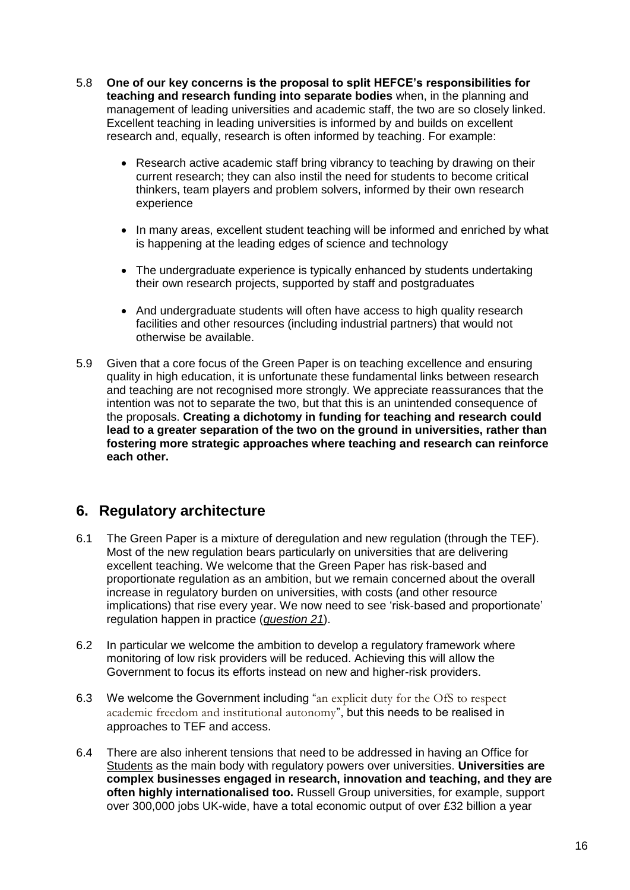- 5.8 **One of our key concerns is the proposal to split HEFCE's responsibilities for teaching and research funding into separate bodies** when, in the planning and management of leading universities and academic staff, the two are so closely linked. Excellent teaching in leading universities is informed by and builds on excellent research and, equally, research is often informed by teaching. For example:
	- Research active academic staff bring vibrancy to teaching by drawing on their current research; they can also instil the need for students to become critical thinkers, team players and problem solvers, informed by their own research experience
	- In many areas, excellent student teaching will be informed and enriched by what is happening at the leading edges of science and technology
	- The undergraduate experience is typically enhanced by students undertaking their own research projects, supported by staff and postgraduates
	- And undergraduate students will often have access to high quality research facilities and other resources (including industrial partners) that would not otherwise be available.
- 5.9 Given that a core focus of the Green Paper is on teaching excellence and ensuring quality in high education, it is unfortunate these fundamental links between research and teaching are not recognised more strongly. We appreciate reassurances that the intention was not to separate the two, but that this is an unintended consequence of the proposals. **Creating a dichotomy in funding for teaching and research could lead to a greater separation of the two on the ground in universities, rather than fostering more strategic approaches where teaching and research can reinforce each other.**

# **6. Regulatory architecture**

- 6.1 The Green Paper is a mixture of deregulation and new regulation (through the TEF). Most of the new regulation bears particularly on universities that are delivering excellent teaching. We welcome that the Green Paper has risk-based and proportionate regulation as an ambition, but we remain concerned about the overall increase in regulatory burden on universities, with costs (and other resource implications) that rise every year. We now need to see 'risk-based and proportionate' regulation happen in practice (*question 21*).
- 6.2 In particular we welcome the ambition to develop a regulatory framework where monitoring of low risk providers will be reduced. Achieving this will allow the Government to focus its efforts instead on new and higher-risk providers.
- 6.3 We welcome the Government including "an explicit duty for the OfS to respect academic freedom and institutional autonomy", but this needs to be realised in approaches to TEF and access.
- 6.4 There are also inherent tensions that need to be addressed in having an Office for Students as the main body with regulatory powers over universities. **Universities are complex businesses engaged in research, innovation and teaching, and they are often highly internationalised too.** Russell Group universities, for example, support over 300,000 jobs UK-wide, have a total economic output of over £32 billion a year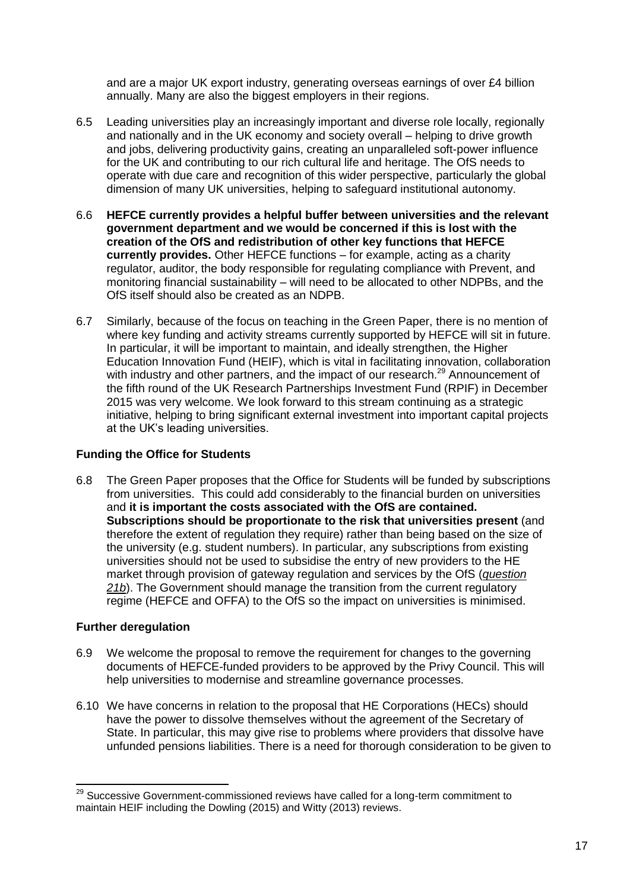and are a major UK export industry, generating overseas earnings of over £4 billion annually. Many are also the biggest employers in their regions.

- 6.5 Leading universities play an increasingly important and diverse role locally, regionally and nationally and in the UK economy and society overall – helping to drive growth and jobs, delivering productivity gains, creating an unparalleled soft-power influence for the UK and contributing to our rich cultural life and heritage. The OfS needs to operate with due care and recognition of this wider perspective, particularly the global dimension of many UK universities, helping to safeguard institutional autonomy.
- 6.6 **HEFCE currently provides a helpful buffer between universities and the relevant government department and we would be concerned if this is lost with the creation of the OfS and redistribution of other key functions that HEFCE currently provides.** Other HEFCE functions – for example, acting as a charity regulator, auditor, the body responsible for regulating compliance with Prevent, and monitoring financial sustainability – will need to be allocated to other NDPBs, and the OfS itself should also be created as an NDPB.
- 6.7 Similarly, because of the focus on teaching in the Green Paper, there is no mention of where key funding and activity streams currently supported by HEFCE will sit in future. In particular, it will be important to maintain, and ideally strengthen, the Higher Education Innovation Fund (HEIF), which is vital in facilitating innovation, collaboration with industry and other partners, and the impact of our research.<sup>29</sup> Announcement of the fifth round of the UK Research Partnerships Investment Fund (RPIF) in December 2015 was very welcome. We look forward to this stream continuing as a strategic initiative, helping to bring significant external investment into important capital projects at the UK's leading universities.

# **Funding the Office for Students**

6.8 The Green Paper proposes that the Office for Students will be funded by subscriptions from universities. This could add considerably to the financial burden on universities and **it is important the costs associated with the OfS are contained. Subscriptions should be proportionate to the risk that universities present** (and therefore the extent of regulation they require) rather than being based on the size of the university (e.g. student numbers). In particular, any subscriptions from existing universities should not be used to subsidise the entry of new providers to the HE market through provision of gateway regulation and services by the OfS (*question 21b*). The Government should manage the transition from the current regulatory regime (HEFCE and OFFA) to the OfS so the impact on universities is minimised.

# **Further deregulation**

- 6.9 We welcome the proposal to remove the requirement for changes to the governing documents of HEFCE-funded providers to be approved by the Privy Council. This will help universities to modernise and streamline governance processes.
- 6.10 We have concerns in relation to the proposal that HE Corporations (HECs) should have the power to dissolve themselves without the agreement of the Secretary of State. In particular, this may give rise to problems where providers that dissolve have unfunded pensions liabilities. There is a need for thorough consideration to be given to

<sup>-</sup> $29$  Successive Government-commissioned reviews have called for a long-term commitment to maintain HEIF including the Dowling (2015) and Witty (2013) reviews.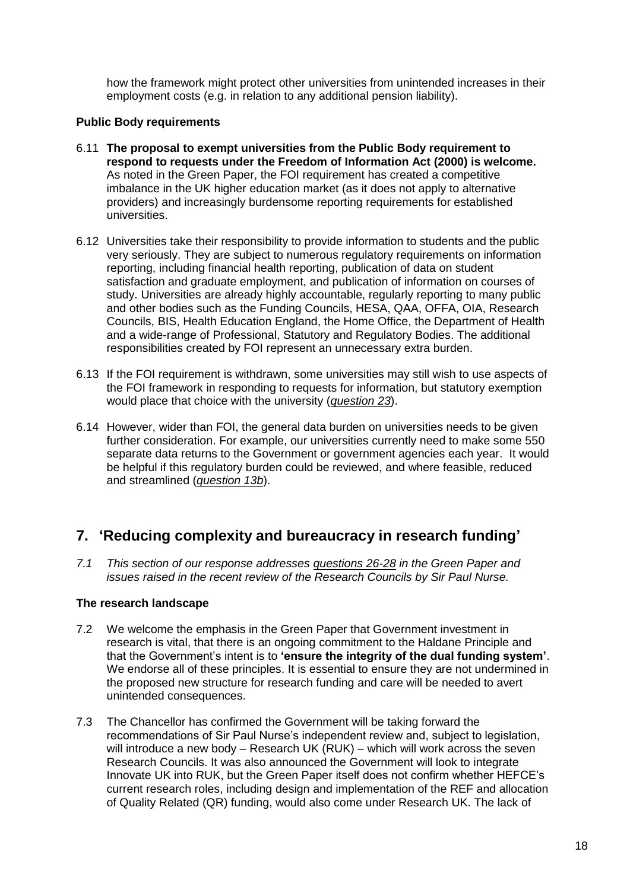how the framework might protect other universities from unintended increases in their employment costs (e.g. in relation to any additional pension liability).

## **Public Body requirements**

- 6.11 **The proposal to exempt universities from the Public Body requirement to respond to requests under the Freedom of Information Act (2000) is welcome.** As noted in the Green Paper, the FOI requirement has created a competitive imbalance in the UK higher education market (as it does not apply to alternative providers) and increasingly burdensome reporting requirements for established universities.
- 6.12 Universities take their responsibility to provide information to students and the public very seriously. They are subject to numerous regulatory requirements on information reporting, including financial health reporting, publication of data on student satisfaction and graduate employment, and publication of information on courses of study. Universities are already highly accountable, regularly reporting to many public and other bodies such as the Funding Councils, HESA, QAA, OFFA, OIA, Research Councils, BIS, Health Education England, the Home Office, the Department of Health and a wide-range of Professional, Statutory and Regulatory Bodies. The additional responsibilities created by FOI represent an unnecessary extra burden.
- 6.13 If the FOI requirement is withdrawn, some universities may still wish to use aspects of the FOI framework in responding to requests for information, but statutory exemption would place that choice with the university (*question 23*).
- 6.14 However, wider than FOI, the general data burden on universities needs to be given further consideration. For example, our universities currently need to make some 550 separate data returns to the Government or government agencies each year. It would be helpful if this regulatory burden could be reviewed, and where feasible, reduced and streamlined (*question 13b*).

# **7. 'Reducing complexity and bureaucracy in research funding'**

*7.1 This section of our response addresses questions 26-28 in the Green Paper and issues raised in the recent review of the Research Councils by Sir Paul Nurse.*

#### **The research landscape**

- 7.2 We welcome the emphasis in the Green Paper that Government investment in research is vital, that there is an ongoing commitment to the Haldane Principle and that the Government's intent is to **'ensure the integrity of the dual funding system'**. We endorse all of these principles. It is essential to ensure they are not undermined in the proposed new structure for research funding and care will be needed to avert unintended consequences.
- 7.3 The Chancellor has confirmed the Government will be taking forward the recommendations of Sir Paul Nurse's independent review and, subject to legislation, will introduce a new body – Research UK (RUK) – which will work across the seven Research Councils. It was also announced the Government will look to integrate Innovate UK into RUK, but the Green Paper itself does not confirm whether HEFCE's current research roles, including design and implementation of the REF and allocation of Quality Related (QR) funding, would also come under Research UK. The lack of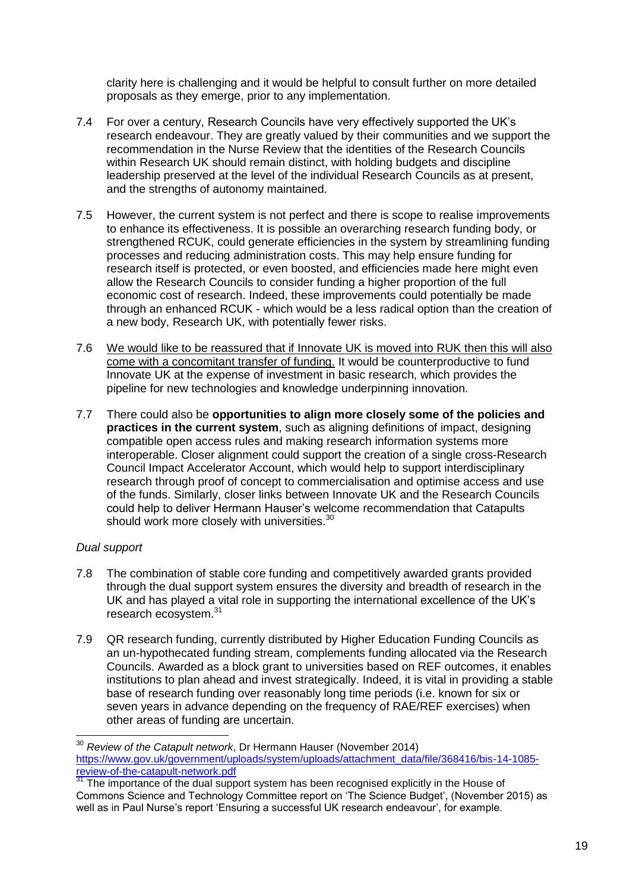clarity here is challenging and it would be helpful to consult further on more detailed proposals as they emerge, prior to any implementation.

- 7.4 For over a century, Research Councils have very effectively supported the UK's research endeavour. They are greatly valued by their communities and we support the recommendation in the Nurse Review that the identities of the Research Councils within Research UK should remain distinct, with holding budgets and discipline leadership preserved at the level of the individual Research Councils as at present, and the strengths of autonomy maintained.
- 7.5 However, the current system is not perfect and there is scope to realise improvements to enhance its effectiveness. It is possible an overarching research funding body, or strengthened RCUK, could generate efficiencies in the system by streamlining funding processes and reducing administration costs. This may help ensure funding for research itself is protected, or even boosted, and efficiencies made here might even allow the Research Councils to consider funding a higher proportion of the full economic cost of research. Indeed, these improvements could potentially be made through an enhanced RCUK - which would be a less radical option than the creation of a new body, Research UK, with potentially fewer risks.
- 7.6 We would like to be reassured that if Innovate UK is moved into RUK then this will also come with a concomitant transfer of funding. It would be counterproductive to fund Innovate UK at the expense of investment in basic research, which provides the pipeline for new technologies and knowledge underpinning innovation.
- 7.7 There could also be **opportunities to align more closely some of the policies and practices in the current system**, such as aligning definitions of impact, designing compatible open access rules and making research information systems more interoperable. Closer alignment could support the creation of a single cross-Research Council Impact Accelerator Account, which would help to support interdisciplinary research through proof of concept to commercialisation and optimise access and use of the funds. Similarly, closer links between Innovate UK and the Research Councils could help to deliver Hermann Hauser's welcome recommendation that Catapults should work more closely with universities.<sup>30</sup>

#### *Dual support*

 $\overline{a}$ 

- 7.8 The combination of stable core funding and competitively awarded grants provided through the dual support system ensures the diversity and breadth of research in the UK and has played a vital role in supporting the international excellence of the UK's research ecosystem.<sup>31</sup>
- 7.9 QR research funding, currently distributed by Higher Education Funding Councils as an un-hypothecated funding stream, complements funding allocated via the Research Councils. Awarded as a block grant to universities based on REF outcomes, it enables institutions to plan ahead and invest strategically. Indeed, it is vital in providing a stable base of research funding over reasonably long time periods (i.e. known for six or seven years in advance depending on the frequency of RAE/REF exercises) when other areas of funding are uncertain.

<sup>30</sup> *Review of the Catapult network*, Dr Hermann Hauser (November 2014) [https://www.gov.uk/government/uploads/system/uploads/attachment\\_data/file/368416/bis-14-1085](https://www.gov.uk/government/uploads/system/uploads/attachment_data/file/368416/bis-14-1085-review-of-the-catapult-network.pdf) [review-of-the-catapult-network.pdf](https://www.gov.uk/government/uploads/system/uploads/attachment_data/file/368416/bis-14-1085-review-of-the-catapult-network.pdf)

 $31$  The importance of the dual support system has been recognised explicitly in the House of Commons Science and Technology Committee report on 'The Science Budget', (November 2015) as well as in Paul Nurse's report 'Ensuring a successful UK research endeavour', for example.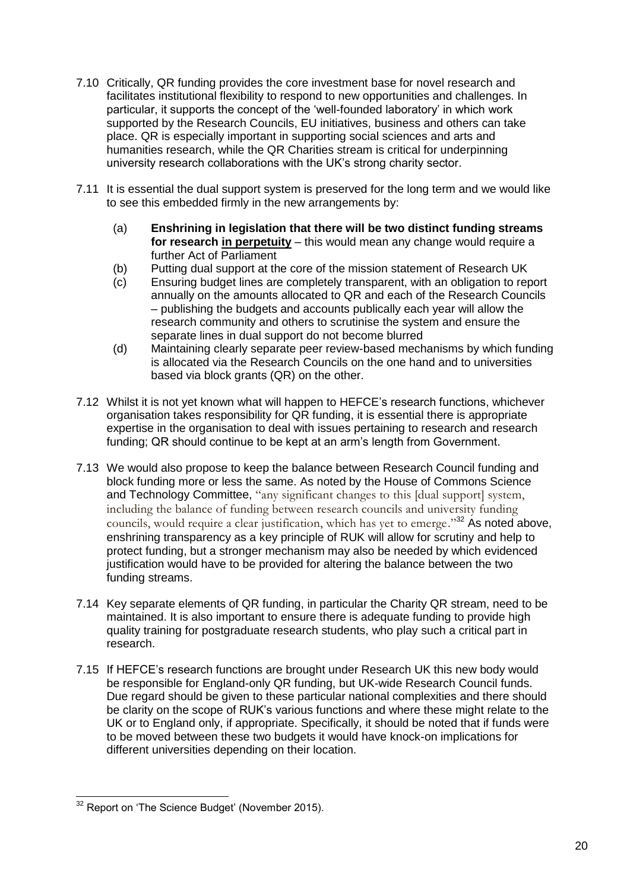- 7.10 Critically, QR funding provides the core investment base for novel research and facilitates institutional flexibility to respond to new opportunities and challenges. In particular, it supports the concept of the 'well-founded laboratory' in which work supported by the Research Councils, EU initiatives, business and others can take place. QR is especially important in supporting social sciences and arts and humanities research, while the QR Charities stream is critical for underpinning university research collaborations with the UK's strong charity sector.
- 7.11 It is essential the dual support system is preserved for the long term and we would like to see this embedded firmly in the new arrangements by:
	- (a) **Enshrining in legislation that there will be two distinct funding streams for research in perpetuity** – this would mean any change would require a further Act of Parliament
	- (b) Putting dual support at the core of the mission statement of Research UK
	- (c) Ensuring budget lines are completely transparent, with an obligation to report annually on the amounts allocated to QR and each of the Research Councils – publishing the budgets and accounts publically each year will allow the research community and others to scrutinise the system and ensure the separate lines in dual support do not become blurred
	- (d) Maintaining clearly separate peer review-based mechanisms by which funding is allocated via the Research Councils on the one hand and to universities based via block grants (QR) on the other.
- 7.12 Whilst it is not yet known what will happen to HEFCE's research functions, whichever organisation takes responsibility for QR funding, it is essential there is appropriate expertise in the organisation to deal with issues pertaining to research and research funding; QR should continue to be kept at an arm's length from Government.
- 7.13 We would also propose to keep the balance between Research Council funding and block funding more or less the same. As noted by the House of Commons Science and Technology Committee, "any significant changes to this Idual supportl system, including the balance of funding between research councils and university funding councils, would require a clear justification, which has yet to emerge."<sup>32</sup> As noted above, enshrining transparency as a key principle of RUK will allow for scrutiny and help to protect funding, but a stronger mechanism may also be needed by which evidenced justification would have to be provided for altering the balance between the two funding streams.
- 7.14 Key separate elements of QR funding, in particular the Charity QR stream, need to be maintained. It is also important to ensure there is adequate funding to provide high quality training for postgraduate research students, who play such a critical part in research.
- 7.15 If HEFCE's research functions are brought under Research UK this new body would be responsible for England-only QR funding, but UK-wide Research Council funds. Due regard should be given to these particular national complexities and there should be clarity on the scope of RUK's various functions and where these might relate to the UK or to England only, if appropriate. Specifically, it should be noted that if funds were to be moved between these two budgets it would have knock-on implications for different universities depending on their location.

<sup>-</sup> $32$  Report on 'The Science Budget' (November 2015).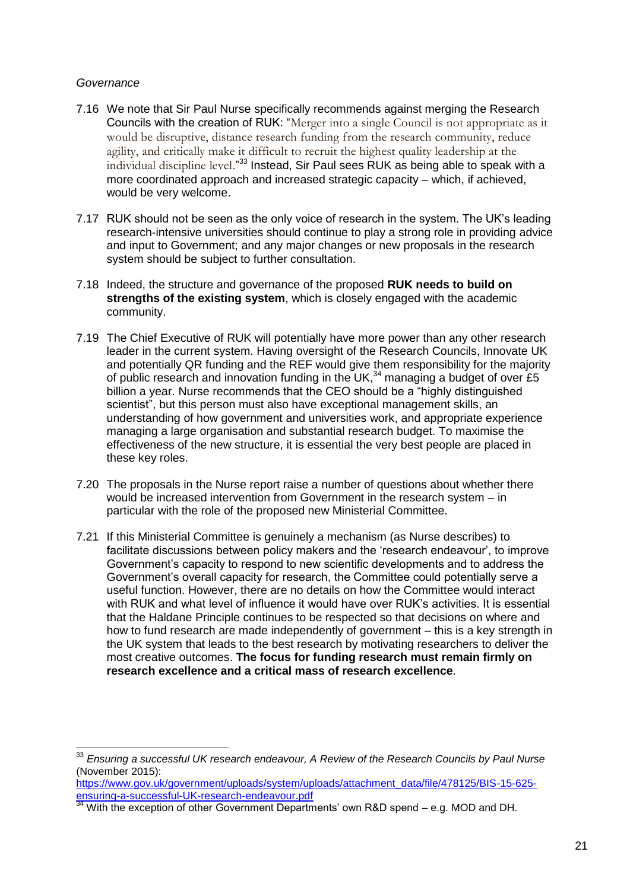#### *Governance*

-

- 7.16 We note that Sir Paul Nurse specifically recommends against merging the Research Councils with the creation of RUK: "Merger into a single Council is not appropriate as it would be disruptive, distance research funding from the research community, reduce agility, and critically make it difficult to recruit the highest quality leadership at the individual discipline level."<sup>33</sup> Instead, Sir Paul sees RUK as being able to speak with a more coordinated approach and increased strategic capacity – which, if achieved, would be very welcome.
- 7.17 RUK should not be seen as the only voice of research in the system. The UK's leading research-intensive universities should continue to play a strong role in providing advice and input to Government; and any major changes or new proposals in the research system should be subject to further consultation.
- 7.18 Indeed, the structure and governance of the proposed **RUK needs to build on strengths of the existing system**, which is closely engaged with the academic community.
- 7.19 The Chief Executive of RUK will potentially have more power than any other research leader in the current system. Having oversight of the Research Councils, Innovate UK and potentially QR funding and the REF would give them responsibility for the majority of public research and innovation funding in the UK,<sup>34</sup> managing a budget of over £5 billion a year. Nurse recommends that the CEO should be a "highly distinguished scientist", but this person must also have exceptional management skills, an understanding of how government and universities work, and appropriate experience managing a large organisation and substantial research budget. To maximise the effectiveness of the new structure, it is essential the very best people are placed in these key roles.
- 7.20 The proposals in the Nurse report raise a number of questions about whether there would be increased intervention from Government in the research system – in particular with the role of the proposed new Ministerial Committee.
- 7.21 If this Ministerial Committee is genuinely a mechanism (as Nurse describes) to facilitate discussions between policy makers and the 'research endeavour', to improve Government's capacity to respond to new scientific developments and to address the Government's overall capacity for research, the Committee could potentially serve a useful function. However, there are no details on how the Committee would interact with RUK and what level of influence it would have over RUK's activities. It is essential that the Haldane Principle continues to be respected so that decisions on where and how to fund research are made independently of government – this is a key strength in the UK system that leads to the best research by motivating researchers to deliver the most creative outcomes. **The focus for funding research must remain firmly on research excellence and a critical mass of research excellence**.

[https://www.gov.uk/government/uploads/system/uploads/attachment\\_data/file/478125/BIS-15-625](https://www.gov.uk/government/uploads/system/uploads/attachment_data/file/478125/BIS-15-625-ensuring-a-successful-UK-research-endeavour.pdf) [ensuring-a-successful-UK-research-endeavour.pdf](https://www.gov.uk/government/uploads/system/uploads/attachment_data/file/478125/BIS-15-625-ensuring-a-successful-UK-research-endeavour.pdf)<br>
34 Mitt de Carolina Construction and the successful-UK-research-endeavour.pdf

<sup>33</sup> *Ensuring a successful UK research endeavour, A Review of the Research Councils by Paul Nurse* (November 2015):

With the exception of other Government Departments' own R&D spend – e.g. MOD and DH.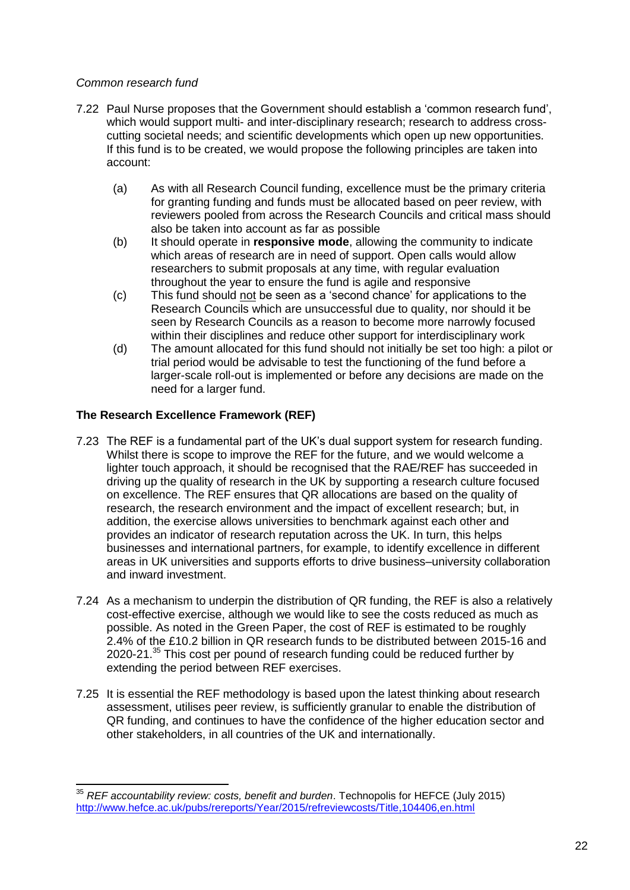## *Common research fund*

- 7.22 Paul Nurse proposes that the Government should establish a 'common research fund', which would support multi- and inter-disciplinary research; research to address crosscutting societal needs; and scientific developments which open up new opportunities. If this fund is to be created, we would propose the following principles are taken into account:
	- (a) As with all Research Council funding, excellence must be the primary criteria for granting funding and funds must be allocated based on peer review, with reviewers pooled from across the Research Councils and critical mass should also be taken into account as far as possible
	- (b) It should operate in **responsive mode**, allowing the community to indicate which areas of research are in need of support. Open calls would allow researchers to submit proposals at any time, with regular evaluation throughout the year to ensure the fund is agile and responsive
	- (c) This fund should not be seen as a 'second chance' for applications to the Research Councils which are unsuccessful due to quality, nor should it be seen by Research Councils as a reason to become more narrowly focused within their disciplines and reduce other support for interdisciplinary work
	- (d) The amount allocated for this fund should not initially be set too high: a pilot or trial period would be advisable to test the functioning of the fund before a larger-scale roll-out is implemented or before any decisions are made on the need for a larger fund.

# **The Research Excellence Framework (REF)**

- 7.23 The REF is a fundamental part of the UK's dual support system for research funding. Whilst there is scope to improve the REF for the future, and we would welcome a lighter touch approach, it should be recognised that the RAE/REF has succeeded in driving up the quality of research in the UK by supporting a research culture focused on excellence. The REF ensures that QR allocations are based on the quality of research, the research environment and the impact of excellent research; but, in addition, the exercise allows universities to benchmark against each other and provides an indicator of research reputation across the UK. In turn, this helps businesses and international partners, for example, to identify excellence in different areas in UK universities and supports efforts to drive business–university collaboration and inward investment.
- 7.24 As a mechanism to underpin the distribution of QR funding, the REF is also a relatively cost-effective exercise, although we would like to see the costs reduced as much as possible. As noted in the Green Paper, the cost of REF is estimated to be roughly 2.4% of the £10.2 billion in QR research funds to be distributed between 2015-16 and 2020-21.<sup>35</sup> This cost per pound of research funding could be reduced further by extending the period between REF exercises.
- 7.25 It is essential the REF methodology is based upon the latest thinking about research assessment, utilises peer review, is sufficiently granular to enable the distribution of QR funding, and continues to have the confidence of the higher education sector and other stakeholders, in all countries of the UK and internationally.

<sup>-</sup><sup>35</sup> *REF accountability review: costs, benefit and burden*. Technopolis for HEFCE (July 2015) <http://www.hefce.ac.uk/pubs/rereports/Year/2015/refreviewcosts/Title,104406,en.html>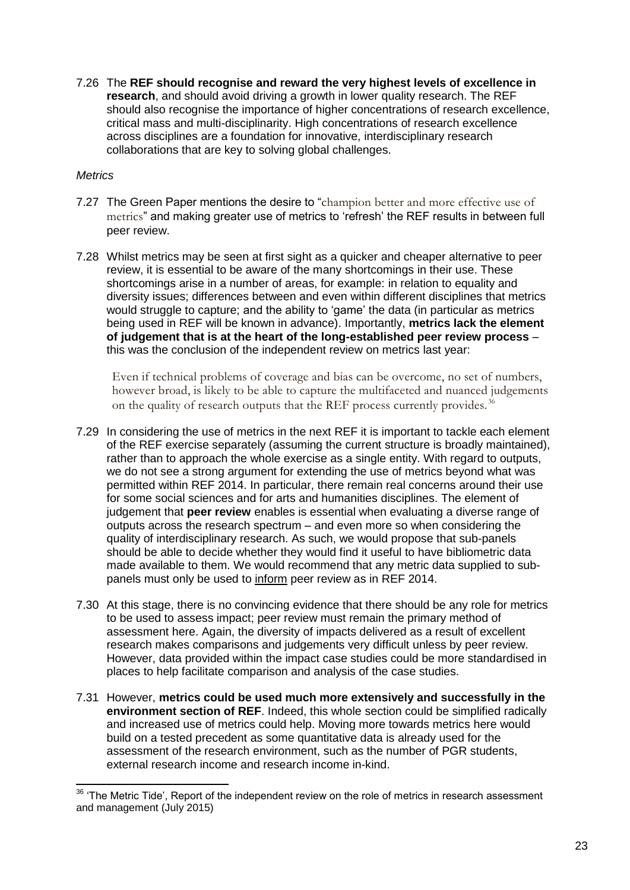7.26 The **REF should recognise and reward the very highest levels of excellence in research**, and should avoid driving a growth in lower quality research. The REF should also recognise the importance of higher concentrations of research excellence, critical mass and multi-disciplinarity. High concentrations of research excellence across disciplines are a foundation for innovative, interdisciplinary research collaborations that are key to solving global challenges.

## *Metrics*

-

- 7.27 The Green Paper mentions the desire to "champion better and more effective use of metrics" and making greater use of metrics to 'refresh' the REF results in between full peer review.
- 7.28 Whilst metrics may be seen at first sight as a quicker and cheaper alternative to peer review, it is essential to be aware of the many shortcomings in their use. These shortcomings arise in a number of areas, for example: in relation to equality and diversity issues; differences between and even within different disciplines that metrics would struggle to capture; and the ability to 'game' the data (in particular as metrics being used in REF will be known in advance). Importantly, **metrics lack the element of judgement that is at the heart of the long-established peer review process** – this was the conclusion of the independent review on metrics last year:

Even if technical problems of coverage and bias can be overcome, no set of numbers, however broad, is likely to be able to capture the multifaceted and nuanced judgements on the quality of research outputs that the REF process currently provides.<sup>36</sup>

- 7.29 In considering the use of metrics in the next REF it is important to tackle each element of the REF exercise separately (assuming the current structure is broadly maintained), rather than to approach the whole exercise as a single entity. With regard to outputs, we do not see a strong argument for extending the use of metrics beyond what was permitted within REF 2014. In particular, there remain real concerns around their use for some social sciences and for arts and humanities disciplines. The element of judgement that **peer review** enables is essential when evaluating a diverse range of outputs across the research spectrum – and even more so when considering the quality of interdisciplinary research. As such, we would propose that sub-panels should be able to decide whether they would find it useful to have bibliometric data made available to them. We would recommend that any metric data supplied to subpanels must only be used to inform peer review as in REF 2014.
- 7.30 At this stage, there is no convincing evidence that there should be any role for metrics to be used to assess impact; peer review must remain the primary method of assessment here. Again, the diversity of impacts delivered as a result of excellent research makes comparisons and judgements very difficult unless by peer review. However, data provided within the impact case studies could be more standardised in places to help facilitate comparison and analysis of the case studies.
- 7.31 However, **metrics could be used much more extensively and successfully in the environment section of REF**. Indeed, this whole section could be simplified radically and increased use of metrics could help. Moving more towards metrics here would build on a tested precedent as some quantitative data is already used for the assessment of the research environment, such as the number of PGR students, external research income and research income in-kind.

 $36$  'The Metric Tide', Report of the independent review on the role of metrics in research assessment and management (July 2015)